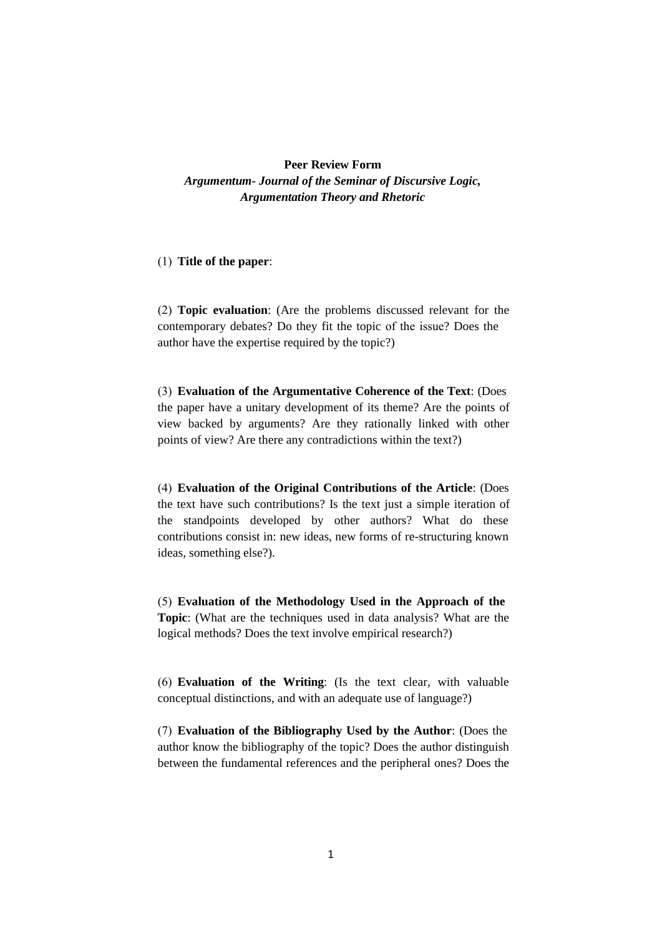## **Peer Review Form** *Argumentum- Journal of the Seminar of Discursive Logic, Argumentation Theory and Rhetoric*

## (1) **Title of the paper**:

(2) **Topic evaluation**: (Are the problems discussed relevant for the contemporary debates? Do they fit the topic of the issue? Does the author have the expertise required by the topic?)

(3) **Evaluation of the Argumentative Coherence of the Text**: (Does the paper have a unitary development of its theme? Are the points of view backed by arguments? Are they rationally linked with other points of view? Are there any contradictions within the text?)

(4) **Evaluation of the Original Contributions of the Article**: (Does the text have such contributions? Is the text just a simple iteration of the standpoints developed by other authors? What do these contributions consist in: new ideas, new forms of re-structuring known ideas, something else?).

(5) **Evaluation of the Methodology Used in the Approach of the Topic**: (What are the techniques used in data analysis? What are the logical methods? Does the text involve empirical research?)

(6) **Evaluation of the Writing**: (Is the text clear, with valuable conceptual distinctions, and with an adequate use of language?)

(7) **Evaluation of the Bibliography Used by the Author**: (Does the author know the bibliography of the topic? Does the author distinguish between the fundamental references and the peripheral ones? Does the